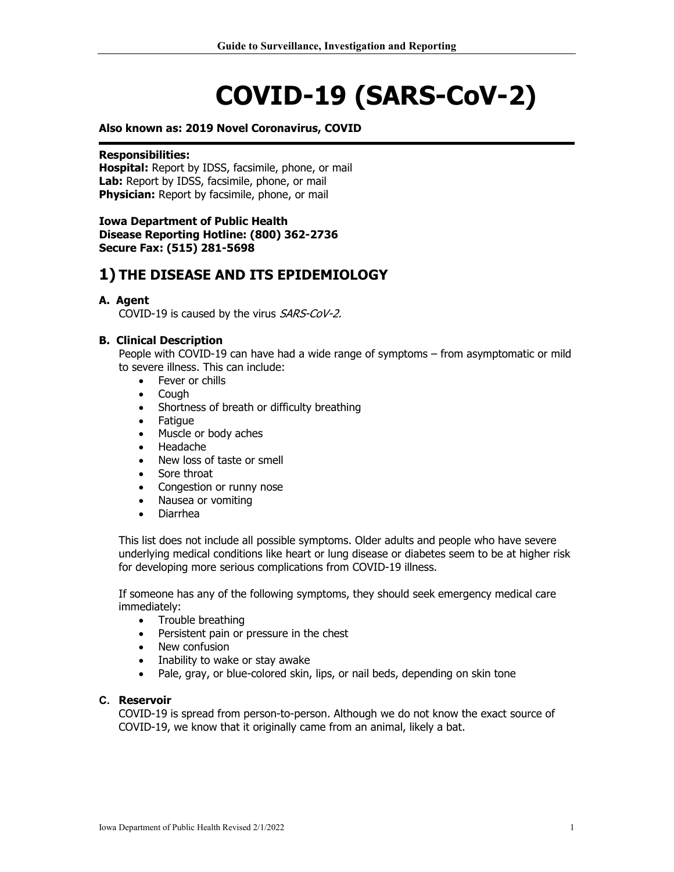# **COVID-19 (SARS-CoV-2)**

#### **Also known as: 2019 Novel Coronavirus, COVID**

#### **Responsibilities:**

**Hospital:** Report by IDSS, facsimile, phone, or mail Lab: Report by IDSS, facsimile, phone, or mail **Physician:** Report by facsimile, phone, or mail

#### **Iowa Department of Public Health Disease Reporting Hotline: (800) 362-2736 Secure Fax: (515) 281-5698**

# **1) THE DISEASE AND ITS EPIDEMIOLOGY**

#### **A. Agent**

COVID-19 is caused by the virus SARS-CoV-2.

#### **B. Clinical Description**

People with COVID-19 can have had a wide range of symptoms – from asymptomatic or mild to severe illness. This can include:

- Fever or chills
- Cough
- Shortness of breath or difficulty breathing
- Fatigue
- Muscle or body aches
- Headache
- New loss of taste or smell
- Sore throat
- Congestion or runny nose
- Nausea or vomiting
- Diarrhea

This list does not include all possible symptoms. Older adults and people who have severe underlying medical conditions like heart or lung disease or diabetes seem to be at higher risk for developing more serious complications from COVID-19 illness.

If someone has any of the following symptoms, they should seek emergency medical care immediately:

- Trouble breathing<br>• Persistent pain or
- Persistent pain or pressure in the chest
- New confusion
- Inability to wake or stay awake
- Pale, gray, or blue-colored skin, lips, or nail beds, depending on skin tone

#### **C. Reservoir**

COVID-19 is spread from person-to-person. Although we do not know the exact source of COVID-19, we know that it originally came from an animal, likely a bat.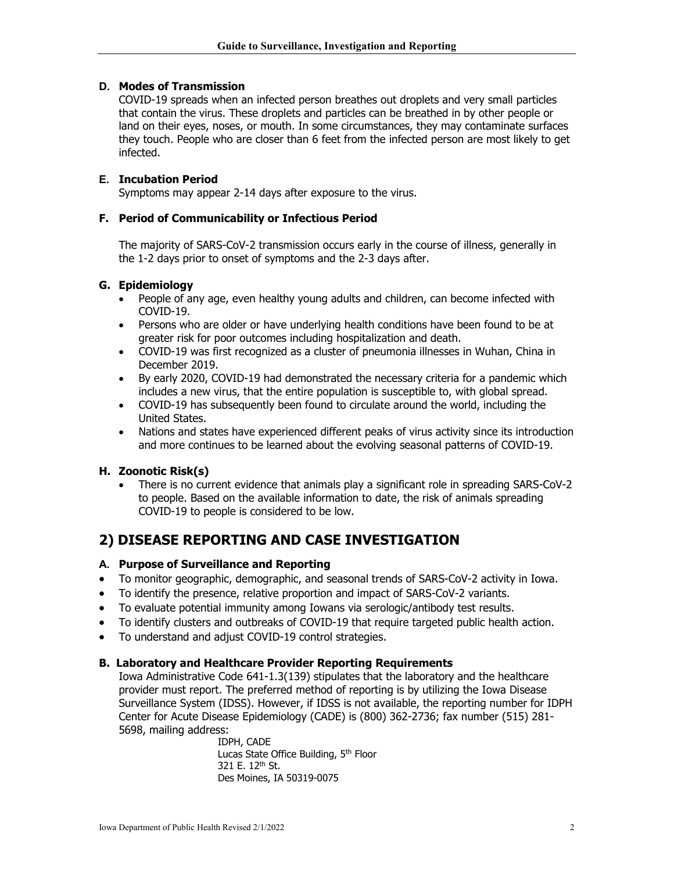### **D. Modes of Transmission**

COVID-19 spreads when an infected person breathes out droplets and very small particles that contain the virus. These droplets and particles can be breathed in by other people or land on their eyes, noses, or mouth. In some circumstances, they may contaminate surfaces they touch. People who are closer than 6 feet from the infected person are most likely to get infected.

### **E. Incubation Period**

Symptoms may appear 2-14 days after exposure to the virus.

#### **F. Period of Communicability or Infectious Period**

The majority of SARS-CoV-2 transmission occurs early in the course of illness, generally in the 1-2 days prior to onset of symptoms and the 2-3 days after.

### **G. Epidemiology**

- People of any age, even healthy young adults and children, can become infected with COVID-19.
- Persons who are older or have underlying health conditions have been found to be at greater risk for poor outcomes including hospitalization and death.
- COVID-19 was first recognized as a cluster of pneumonia illnesses in Wuhan, China in December 2019.
- By early 2020, COVID-19 had demonstrated the necessary criteria for a pandemic which includes a new virus, that the entire population is susceptible to, with global spread.
- COVID-19 has subsequently been found to circulate around the world, including the United States.
- Nations and states have experienced different peaks of virus activity since its introduction and more continues to be learned about the evolving seasonal patterns of COVID-19.

#### **H. Zoonotic Risk(s)**

• There is no current evidence that animals play a significant role in spreading SARS-CoV-2 to people. Based on the available information to date, the risk of animals spreading COVID-19 to people is considered to be low.

# **2) DISEASE REPORTING AND CASE INVESTIGATION**

#### **A. Purpose of Surveillance and Reporting**

- To monitor geographic, demographic, and seasonal trends of SARS-CoV-2 activity in Iowa.
- To identify the presence, relative proportion and impact of SARS-CoV-2 variants.
- To evaluate potential immunity among Iowans via serologic/antibody test results.
- To identify clusters and outbreaks of COVID-19 that require targeted public health action.
- To understand and adjust COVID-19 control strategies.

#### **B. Laboratory and Healthcare Provider Reporting Requirements**

Iowa Administrative Code 641-1.3(139) stipulates that the laboratory and the healthcare provider must report. The preferred method of reporting is by utilizing the Iowa Disease Surveillance System (IDSS). However, if IDSS is not available, the reporting number for IDPH Center for Acute Disease Epidemiology (CADE) is (800) 362-2736; fax number (515) 281- 5698, mailing address:

> IDPH, CADE Lucas State Office Building, 5<sup>th</sup> Floor 321 E. 12<sup>th</sup> St. Des Moines, IA 50319-0075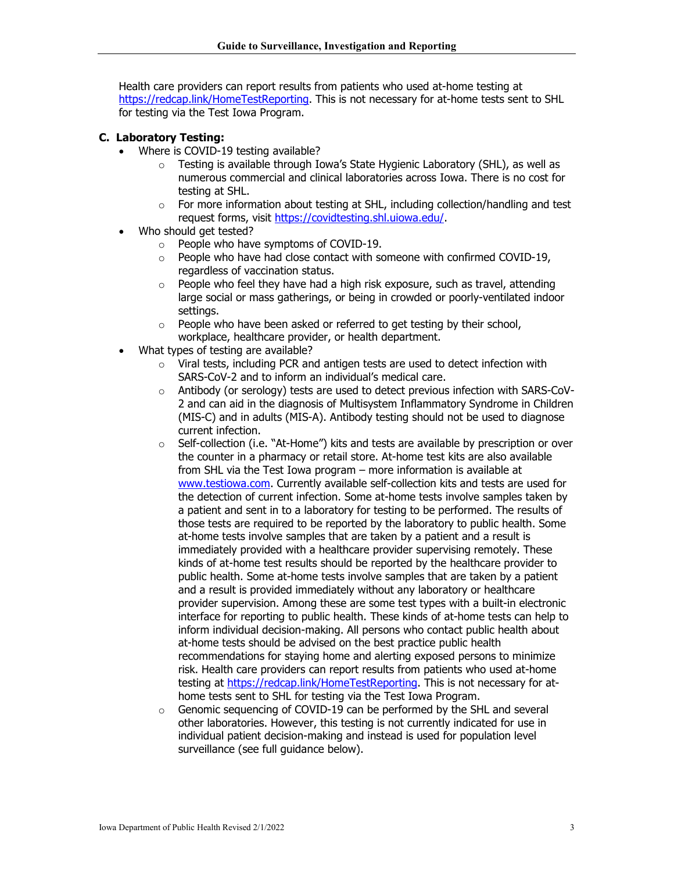Health care providers can report results from patients who used at-home testing at [https://redcap.link/HomeTestReporting.](https://redcap.link/HomeTestReporting) This is not necessary for at-home tests sent to SHL for testing via the Test Iowa Program.

## **C. Laboratory Testing:**

- Where is COVID-19 testing available?
	- o Testing is available through Iowa's State Hygienic Laboratory (SHL), as well as numerous commercial and clinical laboratories across Iowa. There is no cost for testing at SHL.
	- $\circ$  For more information about testing at SHL, including collection/handling and test request forms, visit [https://covidtesting.shl.uiowa.edu/.](https://covidtesting.shl.uiowa.edu/)
- Who should get tested?
	- o People who have symptoms of COVID-19.
	- o People who have had close contact with someone with confirmed COVID-19, regardless of vaccination status.
	- o People who feel they have had a high risk exposure, such as travel, attending large social or mass gatherings, or being in crowded or poorly-ventilated indoor settings.
	- o People who have been asked or referred to get testing by their school, workplace, healthcare provider, or health department.
- What types of testing are available?
	- o Viral tests, including PCR and antigen tests are used to detect infection with SARS-CoV-2 and to inform an individual's medical care.
	- $\circ$  Antibody (or serology) tests are used to detect previous infection with SARS-CoV-2 and can aid in the diagnosis of Multisystem Inflammatory Syndrome in Children (MIS-C) and in adults (MIS-A). Antibody testing should not be used to diagnose current infection.
	- $\circ$  Self-collection (i.e. "At-Home") kits and tests are available by prescription or over the counter in a pharmacy or retail store. At-home test kits are also available from SHL via the Test Iowa program – more information is available at [www.testiowa.com.](http://www.testiowa.com/) Currently available self-collection kits and tests are used for the detection of current infection. Some at-home tests involve samples taken by a patient and sent in to a laboratory for testing to be performed. The results of those tests are required to be reported by the laboratory to public health. Some at-home tests involve samples that are taken by a patient and a result is immediately provided with a healthcare provider supervising remotely. These kinds of at-home test results should be reported by the healthcare provider to public health. Some at-home tests involve samples that are taken by a patient and a result is provided immediately without any laboratory or healthcare provider supervision. Among these are some test types with a built-in electronic interface for reporting to public health. These kinds of at-home tests can help to inform individual decision-making. All persons who contact public health about at-home tests should be advised on the best practice public health recommendations for staying home and alerting exposed persons to minimize risk. Health care providers can report results from patients who used at-home testing at [https://redcap.link/HomeTestReporting.](https://redcap.link/HomeTestReporting) This is not necessary for athome tests sent to SHL for testing via the Test Iowa Program.
	- $\circ$  Genomic sequencing of COVID-19 can be performed by the SHL and several other laboratories. However, this testing is not currently indicated for use in individual patient decision-making and instead is used for population level surveillance (see full guidance below).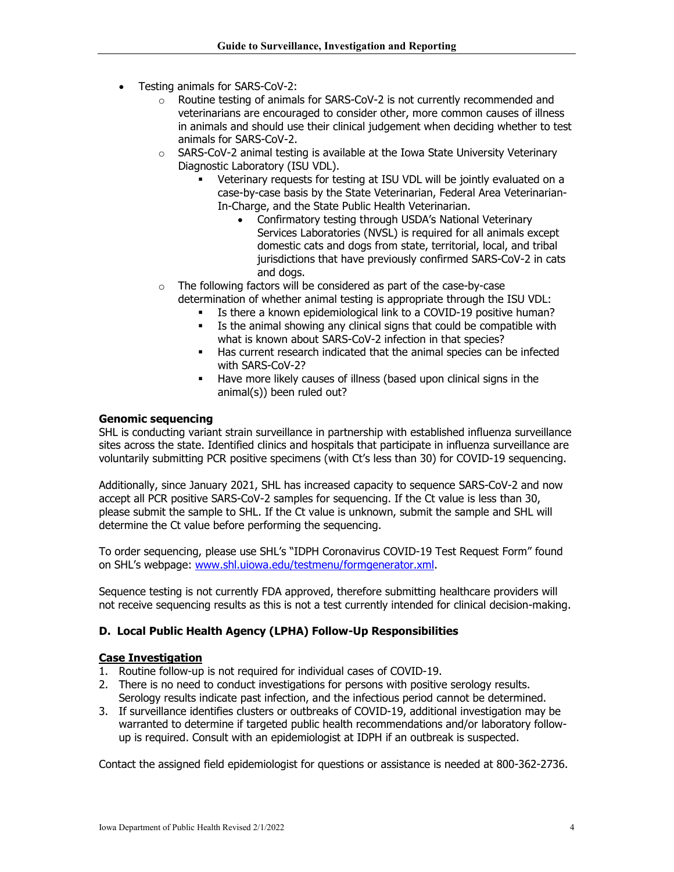- Testing animals for SARS-CoV-2:
	- o Routine testing of animals for SARS-CoV-2 is not currently recommended and veterinarians are encouraged to consider other, more common causes of illness in animals and should use their clinical judgement when deciding whether to test animals for SARS-CoV-2.
	- o SARS-CoV-2 animal testing is available at the Iowa State University Veterinary Diagnostic Laboratory (ISU VDL).
		- Veterinary requests for testing at ISU VDL will be jointly evaluated on a case-by-case basis by the State Veterinarian, Federal Area Veterinarian-In-Charge, and the State Public Health Veterinarian.
			- Confirmatory testing through USDA's National Veterinary Services Laboratories (NVSL) is required for all animals except domestic cats and dogs from state, territorial, local, and tribal jurisdictions that have previously confirmed SARS-CoV-2 in cats and dogs.
	- o The following factors will be considered as part of the case-by-case determination of whether animal testing is appropriate through the ISU VDL:
		- Is there a known epidemiological link to a COVID-19 positive human?
		- Is the animal showing any clinical signs that could be compatible with what is known about SARS-CoV-2 infection in that species?
		- Has current research indicated that the animal species can be infected with SARS-CoV-2?
		- Have more likely causes of illness (based upon clinical signs in the animal(s)) been ruled out?

#### **Genomic sequencing**

SHL is conducting variant strain surveillance in partnership with established influenza surveillance sites across the state. Identified clinics and hospitals that participate in influenza surveillance are voluntarily submitting PCR positive specimens (with Ct's less than 30) for COVID-19 sequencing.

Additionally, since January 2021, SHL has increased capacity to sequence SARS-CoV-2 and now accept all PCR positive SARS-CoV-2 samples for sequencing. If the Ct value is less than 30, please submit the sample to SHL. If the Ct value is unknown, submit the sample and SHL will determine the Ct value before performing the sequencing.

To order sequencing, please use SHL's "IDPH Coronavirus COVID-19 Test Request Form" found on SHL's webpage: [www.shl.uiowa.edu/testmenu/formgenerator.xml.](http://www.shl.uiowa.edu/testmenu/formgenerator.xml)

Sequence testing is not currently FDA approved, therefore submitting healthcare providers will not receive sequencing results as this is not a test currently intended for clinical decision-making.

## **D. Local Public Health Agency (LPHA) Follow-Up Responsibilities**

#### **Case Investigation**

- 1. Routine follow-up is not required for individual cases of COVID-19.
- 2. There is no need to conduct investigations for persons with positive serology results. Serology results indicate past infection, and the infectious period cannot be determined.
- 3. If surveillance identifies clusters or outbreaks of COVID-19, additional investigation may be warranted to determine if targeted public health recommendations and/or laboratory followup is required. Consult with an epidemiologist at IDPH if an outbreak is suspected.

Contact the assigned field epidemiologist for questions or assistance is needed at 800-362-2736.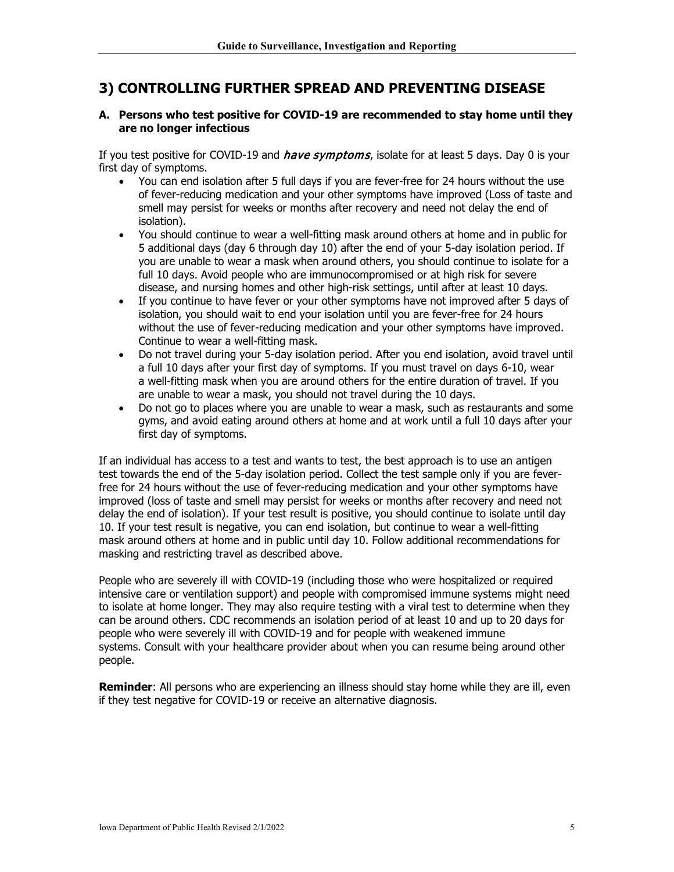# **3) CONTROLLING FURTHER SPREAD AND PREVENTING DISEASE**

#### **A. Persons who test positive for COVID-19 are recommended to stay home until they are no longer infectious**

If you test positive for COVID-19 and *have symptoms*, isolate for at least 5 days. Day 0 is your first day of symptoms.

- You can end isolation after 5 full days if you are fever-free for 24 hours without the use of fever-reducing medication and your other symptoms have improved (Loss of taste and smell may persist for weeks or months after recovery and need not delay the end of isolation).
- You should continue to wear a well-fitting mask around others at home and in public for 5 additional days (day 6 through day 10) after the end of your 5-day isolation period. If you are unable to wear a mask when around others, you should continue to isolate for a full 10 days. Avoid people who are immunocompromised or at high risk for severe disease, and nursing homes and other high-risk settings, until after at least 10 days.
- If you continue to have fever or your other symptoms have not improved after 5 days of isolation, you should wait to end your isolation until you are fever-free for 24 hours without the use of fever-reducing medication and your other symptoms have improved. Continue to wear a well-fitting mask.
- Do not travel during your 5-day isolation period. After you end isolation, avoid travel until a full 10 days after your first day of symptoms. If you must travel on days 6-10, wear a well-fitting mask when you are around others for the entire duration of travel. If you are unable to wear a mask, you should not travel during the 10 days.
- Do not go to places where you are unable to wear a mask, such as restaurants and some gyms, and avoid eating around others at home and at work until a full 10 days after your first day of symptoms.

If an individual has access to a test and wants to test, the best approach is to use an antigen test towards the end of the 5-day isolation period. Collect the test sample only if you are feverfree for 24 hours without the use of fever-reducing medication and your other symptoms have improved (loss of taste and smell may persist for weeks or months after recovery and need not delay the end of isolation). If your test result is positive, you should continue to isolate until day 10. If your test result is negative, you can end isolation, but continue to wear a well-fitting mask around others at home and in public until day 10. Follow additional recommendations for masking and restricting travel as described above.

People who are severely ill with COVID-19 (including those who were hospitalized or required intensive care or ventilation support) and people with compromised immune systems might need to isolate at home longer. They may also require testing with a viral test to determine when they can be around others. CDC recommends an isolation period of at least 10 and up to 20 days for people who were severely ill with COVID-19 and for people with weakened immune systems. Consult with your healthcare provider about when you can resume being around other people.

**Reminder**: All persons who are experiencing an illness should stay home while they are ill, even if they test negative for COVID-19 or receive an alternative diagnosis.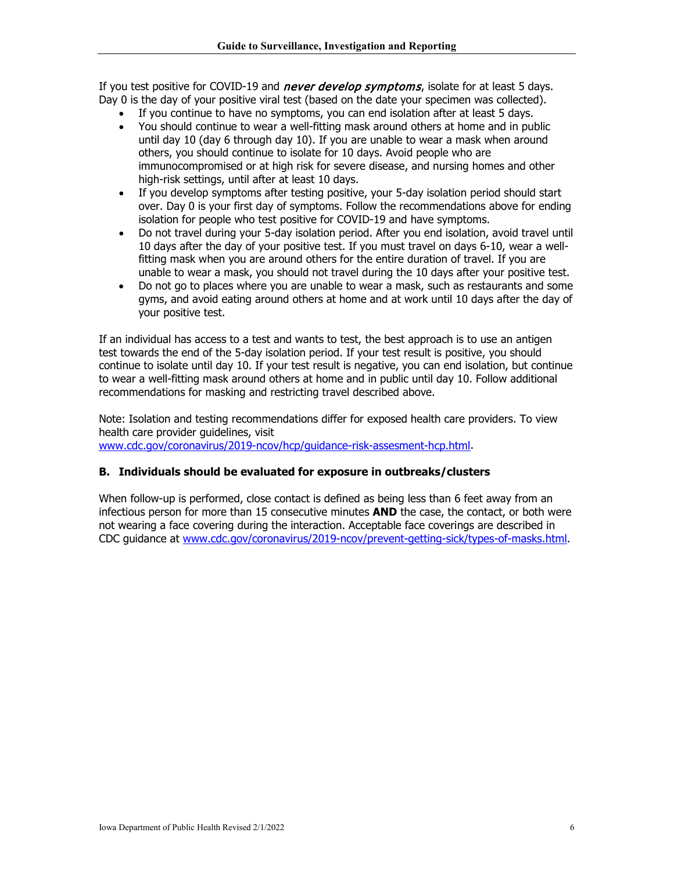If you test positive for COVID-19 and *never develop symptoms*, isolate for at least 5 days. Day 0 is the day of your positive viral test (based on the date your specimen was collected).

- If you continue to have no symptoms, you can end isolation after at least 5 days.
- You should continue to wear a well-fitting mask around others at home and in public until day 10 (day 6 through day 10). If you are unable to wear a mask when around others, you should continue to isolate for 10 days. Avoid people who are immunocompromised or at high risk for severe disease, and nursing homes and other high-risk settings, until after at least 10 days.
- If you develop symptoms after testing positive, your 5-day isolation period should start over. Day 0 is your first day of symptoms. Follow the recommendations above for ending isolation for people who test positive for COVID-19 and have symptoms.
- Do not travel during your 5-day isolation period. After you end isolation, avoid travel until 10 days after the day of your positive test. If you must travel on days 6-10, wear a wellfitting mask when you are around others for the entire duration of travel. If you are unable to wear a mask, you should not travel during the 10 days after your positive test.
- Do not go to places where you are unable to wear a mask, such as restaurants and some gyms, and avoid eating around others at home and at work until 10 days after the day of your positive test.

If an individual has access to a test and wants to test, the best approach is to use an antigen test towards the end of the 5-day isolation period. If your test result is positive, you should continue to isolate until day 10. If your test result is negative, you can end isolation, but continue to wear a well-fitting mask around others at home and in public until day 10. Follow additional recommendations for masking and restricting travel described above.

Note: Isolation and testing recommendations differ for exposed health care providers. To view health care provider guidelines, visit [www.cdc.gov/coronavirus/2019-ncov/hcp/guidance-risk-assesment-hcp.html.](http://www.cdc.gov/coronavirus/2019-ncov/hcp/guidance-risk-assesment-hcp.html)

## **B. Individuals should be evaluated for exposure in outbreaks/clusters**

When follow-up is performed, close contact is defined as being less than 6 feet away from an infectious person for more than 15 consecutive minutes **AND** the case, the contact, or both were not wearing a face covering during the interaction. Acceptable face coverings are described in CDC guidance at [www.cdc.gov/coronavirus/2019-ncov/prevent-getting-sick/types-of-masks.html.](http://www.cdc.gov/coronavirus/2019-ncov/prevent-getting-sick/types-of-masks.html)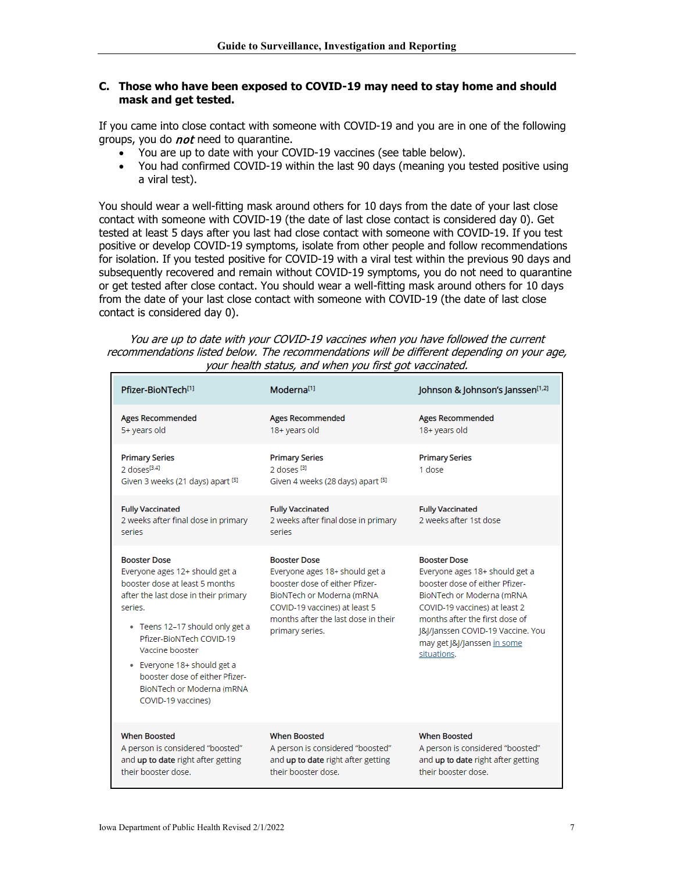#### **C. Those who have been exposed to COVID-19 may need to stay home and should mask and get tested.**

If you came into close contact with someone with COVID-19 and you are in one of the following groups, you do *not* need to quarantine.

- You are up to date with your COVID-19 vaccines (see table below).
- You had confirmed COVID-19 within the last 90 days (meaning you tested positive using a viral test).

You should wear a well-fitting mask around others for 10 days from the date of your last close contact with someone with COVID-19 (the date of last close contact is considered day 0). Get tested at least 5 days after you last had close contact with someone with COVID-19. If you test positive or develop COVID-19 symptoms, isolate from other people and follow recommendations for isolation. If you tested positive for COVID-19 with a viral test within the previous 90 days and subsequently recovered and remain without COVID-19 symptoms, you do not need to quarantine or get tested after close contact. You should wear a well-fitting mask around others for 10 days from the date of your last close contact with someone with COVID-19 (the date of last close contact is considered day 0).

| You are up to date with your COVID-19 vaccines when you have followed the current          |
|--------------------------------------------------------------------------------------------|
| recommendations listed below. The recommendations will be different depending on your age, |
| your health status, and when you first got vaccinated.                                     |

| Pfizer-BioNTech <sup>[1]</sup>                                                                                                                                                                                                                                                                                                                     | Moderna <sup>[1]</sup>                                                                                                                                                                                           | Johnson & Johnson's Janssen <sup>[1,2]</sup>                                                                                                                                                                                                                               |
|----------------------------------------------------------------------------------------------------------------------------------------------------------------------------------------------------------------------------------------------------------------------------------------------------------------------------------------------------|------------------------------------------------------------------------------------------------------------------------------------------------------------------------------------------------------------------|----------------------------------------------------------------------------------------------------------------------------------------------------------------------------------------------------------------------------------------------------------------------------|
| <b>Ages Recommended</b><br>5+ years old                                                                                                                                                                                                                                                                                                            | <b>Ages Recommended</b><br>18+ years old                                                                                                                                                                         | <b>Ages Recommended</b><br>18+ years old                                                                                                                                                                                                                                   |
| <b>Primary Series</b><br>2 doses $[3,4]$<br>Given 3 weeks (21 days) apart [5]                                                                                                                                                                                                                                                                      | <b>Primary Series</b><br>2 doses <sup>[3]</sup><br>Given 4 weeks (28 days) apart [5]                                                                                                                             | <b>Primary Series</b><br>1 dose                                                                                                                                                                                                                                            |
| <b>Fully Vaccinated</b><br>2 weeks after final dose in primary<br>series                                                                                                                                                                                                                                                                           | <b>Fully Vaccinated</b><br>2 weeks after final dose in primary<br>series                                                                                                                                         | <b>Fully Vaccinated</b><br>2 weeks after 1st dose                                                                                                                                                                                                                          |
| <b>Booster Dose</b><br>Everyone ages 12+ should get a<br>booster dose at least 5 months.<br>after the last dose in their primary<br>series.<br>· Teens 12-17 should only get a<br>Pfizer-BioNTech COVID-19<br>Vaccine booster<br>• Everyone 18+ should get a<br>booster dose of either Pfizer-<br>BioNTech or Moderna (mRNA)<br>COVID-19 vaccines) | <b>Booster Dose</b><br>Everyone ages 18+ should get a<br>booster dose of either Pfizer-<br>BioNTech or Moderna (mRNA)<br>COVID-19 vaccines) at least 5<br>months after the last dose in their<br>primary series. | <b>Booster Dose</b><br>Everyone ages 18+ should get a<br>booster dose of either Pfizer-<br>BioNTech or Moderna (mRNA<br>COVID-19 vaccines) at least 2<br>months after the first dose of<br>[&]/Janssen COVID-19 Vaccine. You<br>may get J&J/Janssen in some<br>situations. |
| <b>When Boosted</b><br>A person is considered "boosted"<br>and up to date right after getting<br>their booster dose.                                                                                                                                                                                                                               | <b>When Boosted</b><br>A person is considered "boosted"<br>and up to date right after getting<br>their booster dose.                                                                                             | <b>When Boosted</b><br>A person is considered "boosted"<br>and up to date right after getting<br>their booster dose.                                                                                                                                                       |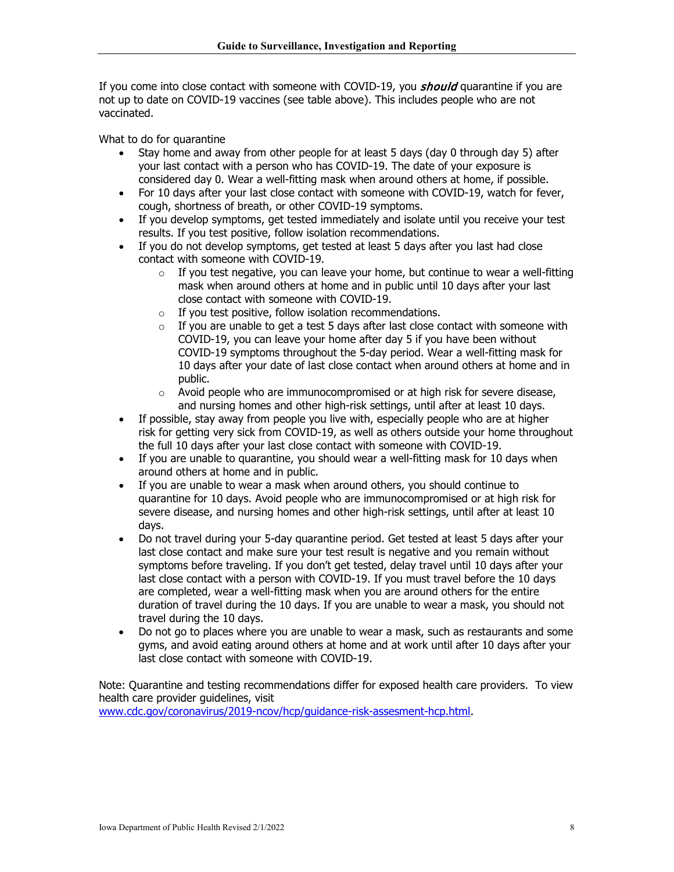If you come into close contact with someone with COVID-19, you **should** quarantine if you are not up to date on COVID-19 vaccines (see table above). This includes people who are not vaccinated.

What to do for quarantine

- Stay home and away from other people for at least 5 days (day 0 through day 5) after your last contact with a person who has COVID-19. The date of your exposure is considered day 0. Wear a well-fitting mask when around others at home, if possible.
- For 10 days after your last close contact with someone with COVID-19, watch for fever, cough, shortness of breath, or other COVID-19 symptoms.
- If you develop symptoms, get tested immediately and isolate until you receive your test results. If you test positive, follow isolation recommendations.
- If you do not develop symptoms, get tested at least 5 days after you last had close contact with someone with COVID-19.
	- $\circ$  If you test negative, you can leave your home, but continue to wear a well-fitting mask when around others at home and in public until 10 days after your last close contact with someone with COVID-19.
	- $\circ$  If you test positive, follow isolation recommendations.
	- $\circ$  If you are unable to get a test 5 days after last close contact with someone with COVID-19, you can leave your home after day 5 if you have been without COVID-19 symptoms throughout the 5-day period. Wear a well-fitting mask for 10 days after your date of last close contact when around others at home and in public.
	- $\circ$  Avoid people who are immunocompromised or at high risk for severe disease, and nursing homes and other high-risk settings, until after at least 10 days.
- If possible, stay away from people you live with, especially people who are at higher risk for getting very sick from COVID-19, as well as others outside your home throughout the full 10 days after your last close contact with someone with COVID-19.
- If you are unable to quarantine, you should wear a well-fitting mask for 10 days when around others at home and in public.
- If you are unable to wear a mask when around others, you should continue to quarantine for 10 days. Avoid people who are immunocompromised or at high risk for severe disease, and nursing homes and other high-risk settings, until after at least 10 days.
- Do not travel during your 5-day quarantine period. Get tested at least 5 days after your last close contact and make sure your test result is negative and you remain without symptoms before traveling. If you don't get tested, delay travel until 10 days after your last close contact with a person with COVID-19. If you must travel before the 10 days are completed, wear a well-fitting mask when you are around others for the entire duration of travel during the 10 days. If you are unable to wear a mask, you should not travel during the 10 days.
- Do not go to places where you are unable to wear a mask, such as restaurants and some gyms, and avoid eating around others at home and at work until after 10 days after your last close contact with someone with COVID-19.

Note: Quarantine and testing recommendations differ for exposed health care providers. To view health care provider quidelines, visit [www.cdc.gov/coronavirus/2019-ncov/hcp/guidance-risk-assesment-hcp.html.](http://www.cdc.gov/coronavirus/2019-ncov/hcp/guidance-risk-assesment-hcp.html)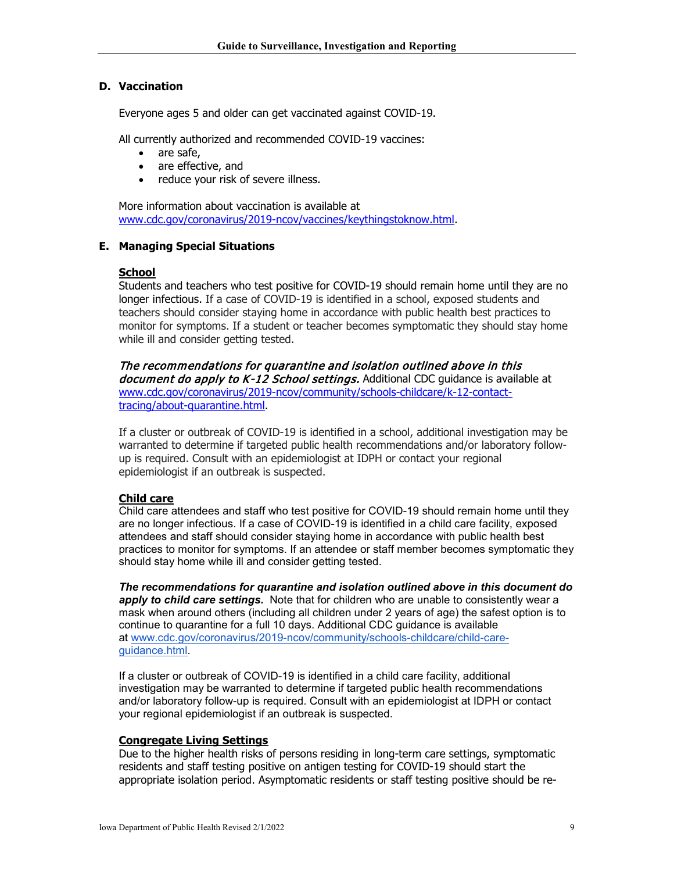### **D. Vaccination**

Everyone ages 5 and older can get vaccinated against COVID-19.

All currently authorized and recommended COVID-19 vaccines:

- are safe,
- are effective, and
- reduce your risk of severe illness.

More information about vaccination is available at [www.cdc.gov/coronavirus/2019-ncov/vaccines/keythingstoknow.html.](http://www.cdc.gov/coronavirus/2019-ncov/vaccines/keythingstoknow.html)

#### **E. Managing Special Situations**

#### **School**

Students and teachers who test positive for COVID-19 should remain home until they are no longer infectious. If a case of COVID-19 is identified in a school, exposed students and teachers should consider staying home in accordance with public health best practices to monitor for symptoms. If a student or teacher becomes symptomatic they should stay home while ill and consider getting tested.

The recommendations for quarantine and isolation outlined above in this document do apply to K-12 School settings. Additional CDC guidance is available at [www.cdc.gov/coronavirus/2019-ncov/community/schools-childcare/k-12-contact](http://www.cdc.gov/coronavirus/2019-ncov/community/schools-childcare/k-12-contact-tracing/about-quarantine.html)[tracing/about-quarantine.html.](http://www.cdc.gov/coronavirus/2019-ncov/community/schools-childcare/k-12-contact-tracing/about-quarantine.html)

If a cluster or outbreak of COVID-19 is identified in a school, additional investigation may be warranted to determine if targeted public health recommendations and/or laboratory followup is required. Consult with an epidemiologist at IDPH or contact your regional epidemiologist if an outbreak is suspected.

#### **Child care**

Child care attendees and staff who test positive for COVID-19 should remain home until they are no longer infectious. If a case of COVID-19 is identified in a child care facility, exposed attendees and staff should consider staying home in accordance with public health best practices to monitor for symptoms. If an attendee or staff member becomes symptomatic they should stay home while ill and consider getting tested.

*The recommendations for quarantine and isolation outlined above in this document do apply to child care settings.* Note that for children who are unable to consistently wear a mask when around others (including all children under 2 years of age) the safest option is to continue to quarantine for a full 10 days. Additional CDC guidance is available at [www.cdc.gov/coronavirus/2019-ncov/community/schools-childcare/child-care](http://www.cdc.gov/coronavirus/2019-ncov/community/schools-childcare/child-care-guidance.html)[guidance.html.](http://www.cdc.gov/coronavirus/2019-ncov/community/schools-childcare/child-care-guidance.html)

If a cluster or outbreak of COVID-19 is identified in a child care facility, additional investigation may be warranted to determine if targeted public health recommendations and/or laboratory follow-up is required. Consult with an epidemiologist at IDPH or contact your regional epidemiologist if an outbreak is suspected.

#### **Congregate Living Settings**

Due to the higher health risks of persons residing in long-term care settings, symptomatic residents and staff testing positive on antigen testing for COVID-19 should start the appropriate isolation period. Asymptomatic residents or staff testing positive should be re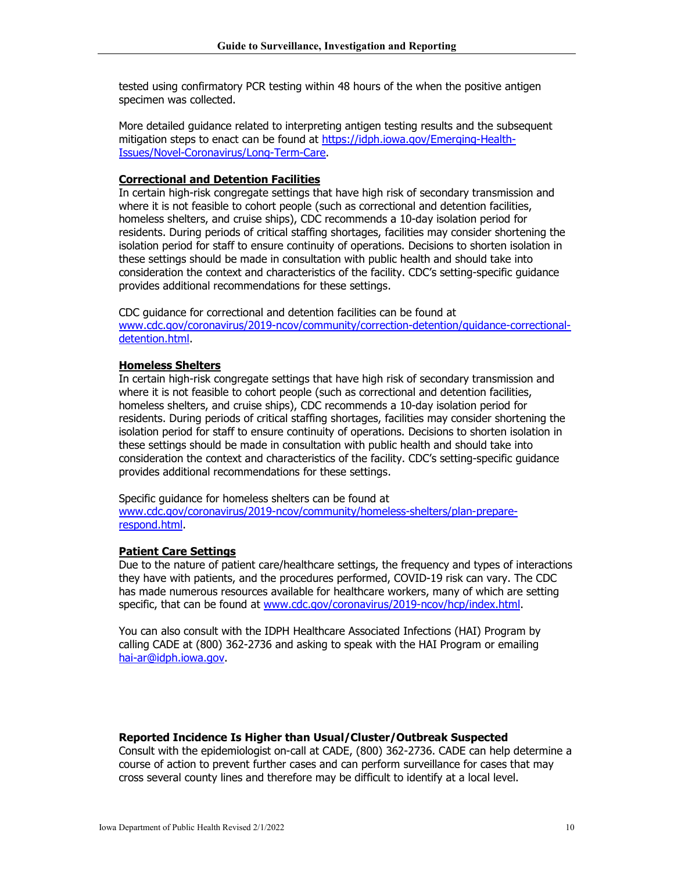tested using confirmatory PCR testing within 48 hours of the when the positive antigen specimen was collected.

More detailed guidance related to interpreting antigen testing results and the subsequent mitigation steps to enact can be found at [https://idph.iowa.gov/Emerging-Health-](https://idph.iowa.gov/Emerging-Health-Issues/Novel-Coronavirus/Long-Term-Care)[Issues/Novel-Coronavirus/Long-Term-Care.](https://idph.iowa.gov/Emerging-Health-Issues/Novel-Coronavirus/Long-Term-Care)

#### **Correctional and Detention Facilities**

In certain high-risk congregate settings that have high risk of secondary transmission and where it is not feasible to cohort people (such as correctional and detention facilities, homeless shelters, and cruise ships), CDC recommends a 10-day isolation period for residents. During periods of critical staffing shortages, facilities may consider shortening the isolation period for staff to ensure continuity of operations. Decisions to shorten isolation in these settings should be made in consultation with public health and should take into consideration the context and characteristics of the facility. CDC's setting-specific guidance provides additional recommendations for these settings.

CDC guidance for correctional and detention facilities can be found at [www.cdc.gov/coronavirus/2019-ncov/community/correction-detention/guidance-correctional](http://www.cdc.gov/coronavirus/2019-ncov/community/correction-detention/guidance-correctional-detention.html)[detention.html.](http://www.cdc.gov/coronavirus/2019-ncov/community/correction-detention/guidance-correctional-detention.html)

#### **Homeless Shelters**

In certain high-risk congregate settings that have high risk of secondary transmission and where it is not feasible to cohort people (such as correctional and detention facilities, homeless shelters, and cruise ships), CDC recommends a 10-day isolation period for residents. During periods of critical staffing shortages, facilities may consider shortening the isolation period for staff to ensure continuity of operations. Decisions to shorten isolation in these settings should be made in consultation with public health and should take into consideration the context and characteristics of the facility. CDC's setting-specific guidance provides additional recommendations for these settings.

Specific guidance for homeless shelters can be found at [www.cdc.gov/coronavirus/2019-ncov/community/homeless-shelters/plan-prepare](http://www.cdc.gov/coronavirus/2019-ncov/community/homeless-shelters/plan-prepare-respond.html)[respond.html.](http://www.cdc.gov/coronavirus/2019-ncov/community/homeless-shelters/plan-prepare-respond.html)

#### **Patient Care Settings**

Due to the nature of patient care/healthcare settings, the frequency and types of interactions they have with patients, and the procedures performed, COVID-19 risk can vary. The CDC has made numerous resources available for healthcare workers, many of which are setting specific, that can be found at [www.cdc.gov/coronavirus/2019-ncov/hcp/index.html.](http://www.cdc.gov/coronavirus/2019-ncov/hcp/index.html)

You can also consult with the IDPH Healthcare Associated Infections (HAI) Program by calling CADE at (800) 362-2736 and asking to speak with the HAI Program or emailing [hai-ar@idph.iowa.gov.](mailto:hai-ar@idph.iowa.gov)

#### **Reported Incidence Is Higher than Usual/Cluster/Outbreak Suspected**

Consult with the epidemiologist on-call at CADE, (800) 362-2736. CADE can help determine a course of action to prevent further cases and can perform surveillance for cases that may cross several county lines and therefore may be difficult to identify at a local level.